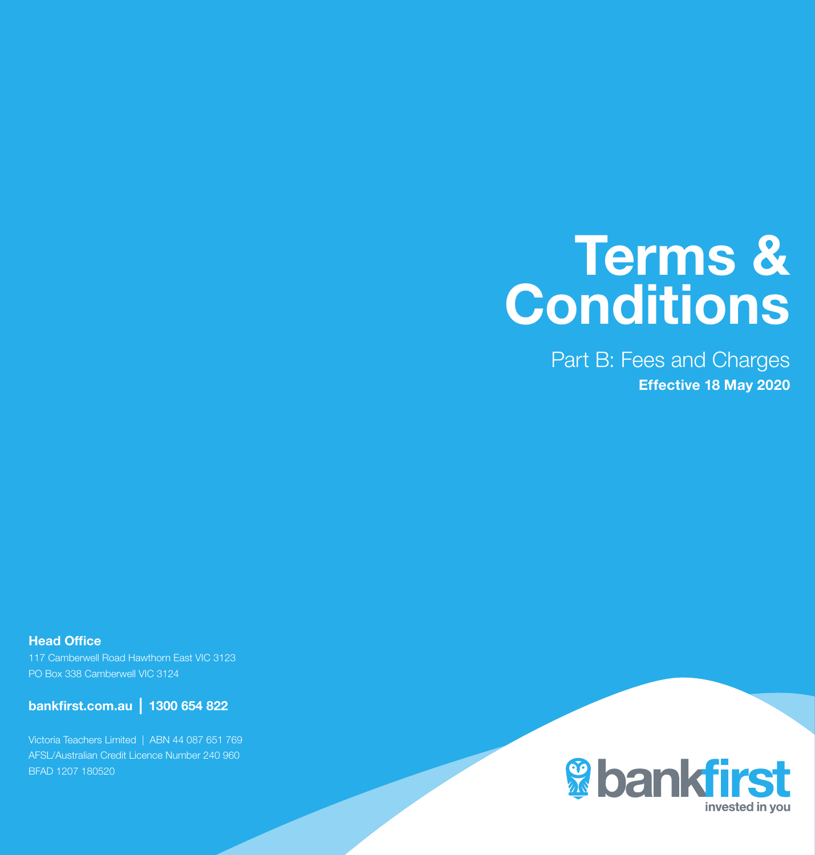# Terms & **Conditions**

Part B: Fees and Charges Effective 18 May 2020

Head Office 117 Camberwell Road Hawthorn East VIC 3123

PO Box 338 Camberwell VIC 3124

bankfirst.com.au | 1300 654 822

Victoria Teachers Limited | ABN 44 087 651 769 AFSL/Australian Credit Licence Number 240 960 BFAD 1207 180520

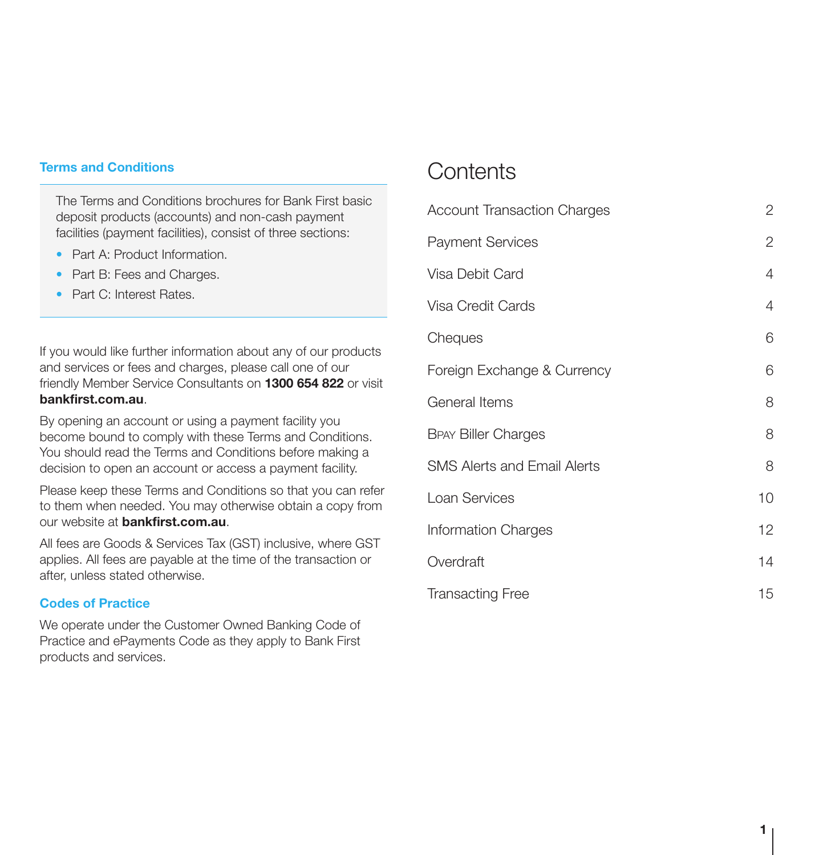### Terms and Conditions

The Terms and Conditions brochures for Bank First basic deposit products (accounts) and non-cash payment facilities (payment facilities), consist of three sections:

- Part A: Product Information
- Part B: Fees and Charges.
- Part C: Interest Rates.

If you would like further information about any of our products and services or fees and charges, please call one of our friendly Member Service Consultants on 1300 654 822 or visit bankfirst.com.au.

By opening an account or using a payment facility you become bound to comply with these Terms and Conditions. You should read the Terms and Conditions before making a decision to open an account or access a payment facility.

Please keep these Terms and Conditions so that you can refer to them when needed. You may otherwise obtain a copy from our website at bankfirst.com.au.

All fees are Goods & Services Tax (GST) inclusive, where GST applies. All fees are payable at the time of the transaction or after, unless stated otherwise.

## Codes of Practice

We operate under the Customer Owned Banking Code of Practice and ePayments Code as they apply to Bank First products and services.

# **Contents**

| <b>Account Transaction Charges</b> | 2  |
|------------------------------------|----|
| <b>Payment Services</b>            | 2  |
| Visa Debit Card                    | 4  |
| Visa Credit Cards                  | 4  |
| Cheques                            | 6  |
| Foreign Exchange & Currency        | 6  |
| General Items                      | 8  |
| <b>BPAY Biller Charges</b>         | 8  |
| <b>SMS Alerts and Email Alerts</b> | 8  |
| Loan Services                      | 10 |
| <b>Information Charges</b>         | 12 |
| Overdraft                          | 14 |
| <b>Transacting Free</b>            | 15 |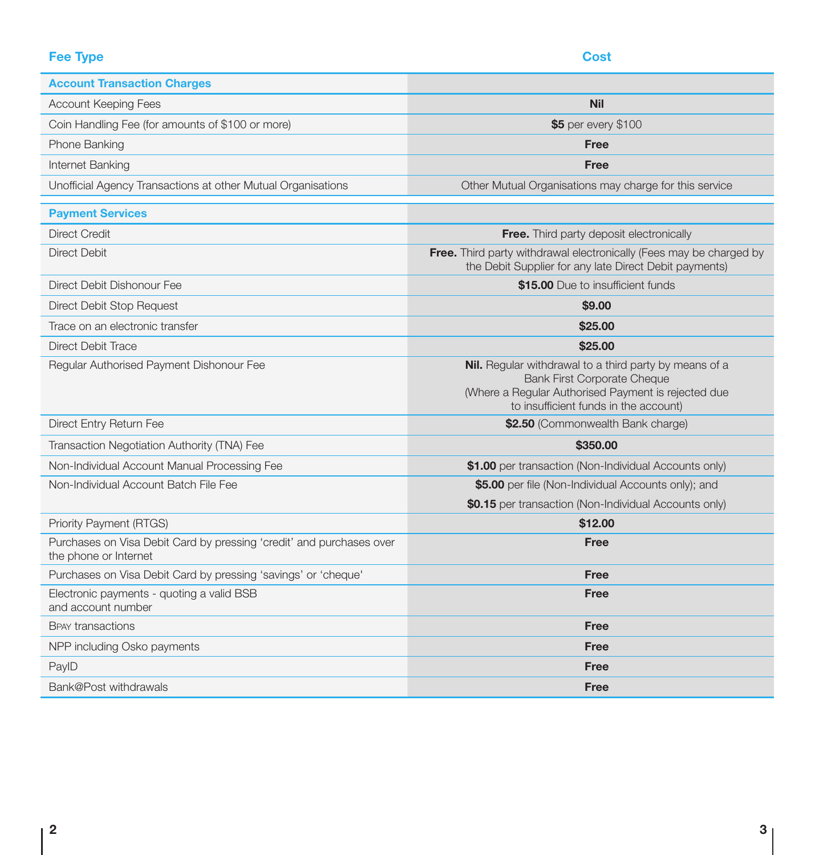# **Fee Type Cost**

| <b>Account Transaction Charges</b>                                                            |                                                                                                                                                                                              |
|-----------------------------------------------------------------------------------------------|----------------------------------------------------------------------------------------------------------------------------------------------------------------------------------------------|
| <b>Account Keeping Fees</b>                                                                   | <b>Nil</b>                                                                                                                                                                                   |
| Coin Handling Fee (for amounts of \$100 or more)                                              | \$5 per every \$100                                                                                                                                                                          |
| Phone Banking                                                                                 | <b>Free</b>                                                                                                                                                                                  |
| Internet Banking                                                                              | Free                                                                                                                                                                                         |
| Unofficial Agency Transactions at other Mutual Organisations                                  | Other Mutual Organisations may charge for this service                                                                                                                                       |
| <b>Payment Services</b>                                                                       |                                                                                                                                                                                              |
| <b>Direct Credit</b>                                                                          | <b>Free.</b> Third party deposit electronically                                                                                                                                              |
| Direct Debit                                                                                  | <b>Free.</b> Third party withdrawal electronically (Fees may be charged by<br>the Debit Supplier for any late Direct Debit payments)                                                         |
| Direct Debit Dishonour Fee                                                                    | \$15.00 Due to insufficient funds                                                                                                                                                            |
| Direct Debit Stop Request                                                                     | \$9.00                                                                                                                                                                                       |
| Trace on an electronic transfer                                                               | \$25.00                                                                                                                                                                                      |
| Direct Debit Trace                                                                            | \$25.00                                                                                                                                                                                      |
| Regular Authorised Payment Dishonour Fee                                                      | Nil. Regular withdrawal to a third party by means of a<br><b>Bank First Corporate Cheque</b><br>(Where a Regular Authorised Payment is rejected due<br>to insufficient funds in the account) |
| Direct Entry Return Fee                                                                       | \$2.50 (Commonwealth Bank charge)                                                                                                                                                            |
| Transaction Negotiation Authority (TNA) Fee                                                   | \$350,00                                                                                                                                                                                     |
| Non-Individual Account Manual Processing Fee                                                  | \$1.00 per transaction (Non-Individual Accounts only)                                                                                                                                        |
| Non-Individual Account Batch File Fee                                                         | \$5.00 per file (Non-Individual Accounts only); and                                                                                                                                          |
|                                                                                               | \$0.15 per transaction (Non-Individual Accounts only)                                                                                                                                        |
| Priority Payment (RTGS)                                                                       | \$12.00                                                                                                                                                                                      |
| Purchases on Visa Debit Card by pressing 'credit' and purchases over<br>the phone or Internet | Free                                                                                                                                                                                         |
| Purchases on Visa Debit Card by pressing 'savings' or 'cheque'                                | Free                                                                                                                                                                                         |
| Electronic payments - quoting a valid BSB<br>and account number                               | Free                                                                                                                                                                                         |
| <b>BPAY transactions</b>                                                                      | <b>Free</b>                                                                                                                                                                                  |
| NPP including Osko payments                                                                   | Free                                                                                                                                                                                         |
| PaylD                                                                                         | Free                                                                                                                                                                                         |
| Bank@Post withdrawals                                                                         | Free                                                                                                                                                                                         |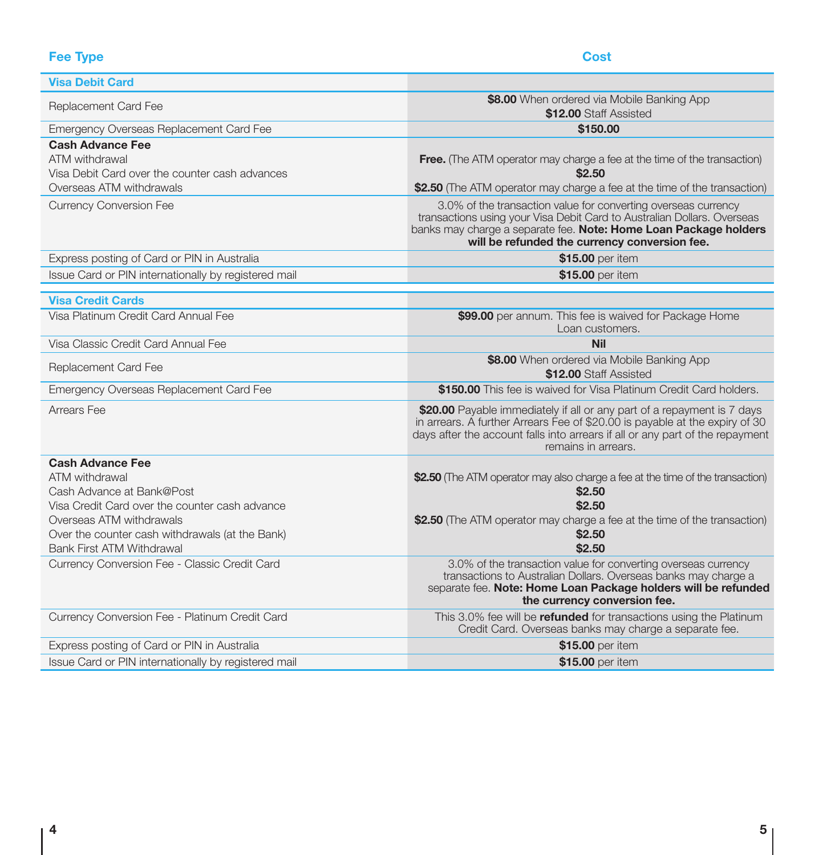| <b>Fee Type</b>                                                                                                                                                                                           | Cost                                                                                                                                                                                                                                                           |
|-----------------------------------------------------------------------------------------------------------------------------------------------------------------------------------------------------------|----------------------------------------------------------------------------------------------------------------------------------------------------------------------------------------------------------------------------------------------------------------|
| <b>Visa Debit Card</b>                                                                                                                                                                                    |                                                                                                                                                                                                                                                                |
| Replacement Card Fee                                                                                                                                                                                      | \$8.00 When ordered via Mobile Banking App<br>\$12.00 Staff Assisted                                                                                                                                                                                           |
| Emergency Overseas Replacement Card Fee                                                                                                                                                                   | \$150.00                                                                                                                                                                                                                                                       |
| <b>Cash Advance Fee</b><br>ATM withdrawal<br>Visa Debit Card over the counter cash advances<br>Overseas ATM withdrawals                                                                                   | <b>Free.</b> (The ATM operator may charge a fee at the time of the transaction)<br>\$2.50<br>\$2.50 (The ATM operator may charge a fee at the time of the transaction)                                                                                         |
| <b>Currency Conversion Fee</b>                                                                                                                                                                            | 3.0% of the transaction value for converting overseas currency<br>transactions using your Visa Debit Card to Australian Dollars. Overseas<br>banks may charge a separate fee. Note: Home Loan Package holders<br>will be refunded the currency conversion fee. |
| Express posting of Card or PIN in Australia                                                                                                                                                               | \$15.00 per item                                                                                                                                                                                                                                               |
| Issue Card or PIN internationally by registered mail                                                                                                                                                      | \$15.00 per item                                                                                                                                                                                                                                               |
| <b>Visa Credit Cards</b>                                                                                                                                                                                  |                                                                                                                                                                                                                                                                |
| Visa Platinum Credit Card Annual Fee                                                                                                                                                                      | \$99.00 per annum. This fee is waived for Package Home<br>Loan customers.                                                                                                                                                                                      |
| Visa Classic Credit Card Annual Fee                                                                                                                                                                       | <b>Nil</b>                                                                                                                                                                                                                                                     |
| Replacement Card Fee                                                                                                                                                                                      | \$8.00 When ordered via Mobile Banking App<br>\$12.00 Staff Assisted                                                                                                                                                                                           |
| Emergency Overseas Replacement Card Fee                                                                                                                                                                   | \$150.00 This fee is waived for Visa Platinum Credit Card holders.                                                                                                                                                                                             |
| Arrears Fee                                                                                                                                                                                               | \$20.00 Payable immediately if all or any part of a repayment is 7 days<br>in arrears. A further Arrears Fee of \$20.00 is payable at the expiry of 30<br>days after the account falls into arrears if all or any part of the repayment<br>remains in arrears. |
| <b>Cash Advance Fee</b>                                                                                                                                                                                   |                                                                                                                                                                                                                                                                |
| ATM withdrawal<br>Cash Advance at Bank@Post<br>Visa Credit Card over the counter cash advance<br>Overseas ATM withdrawals<br>Over the counter cash withdrawals (at the Bank)<br>Bank First ATM Withdrawal | \$2.50 (The ATM operator may also charge a fee at the time of the transaction)<br>\$2.50<br>\$2.50<br>\$2.50 (The ATM operator may charge a fee at the time of the transaction)<br>\$2.50<br>\$2.50                                                            |
| Currency Conversion Fee - Classic Credit Card                                                                                                                                                             | 3.0% of the transaction value for converting overseas currency<br>transactions to Australian Dollars. Overseas banks may charge a<br>separate fee. Note: Home Loan Package holders will be refunded<br>the currency conversion fee.                            |
| Currency Conversion Fee - Platinum Credit Card                                                                                                                                                            | This 3.0% fee will be refunded for transactions using the Platinum<br>Credit Card. Overseas banks may charge a separate fee.                                                                                                                                   |
| Express posting of Card or PIN in Australia                                                                                                                                                               | \$15.00 per item                                                                                                                                                                                                                                               |
| Issue Card or PIN internationally by registered mail                                                                                                                                                      | \$15.00 per item                                                                                                                                                                                                                                               |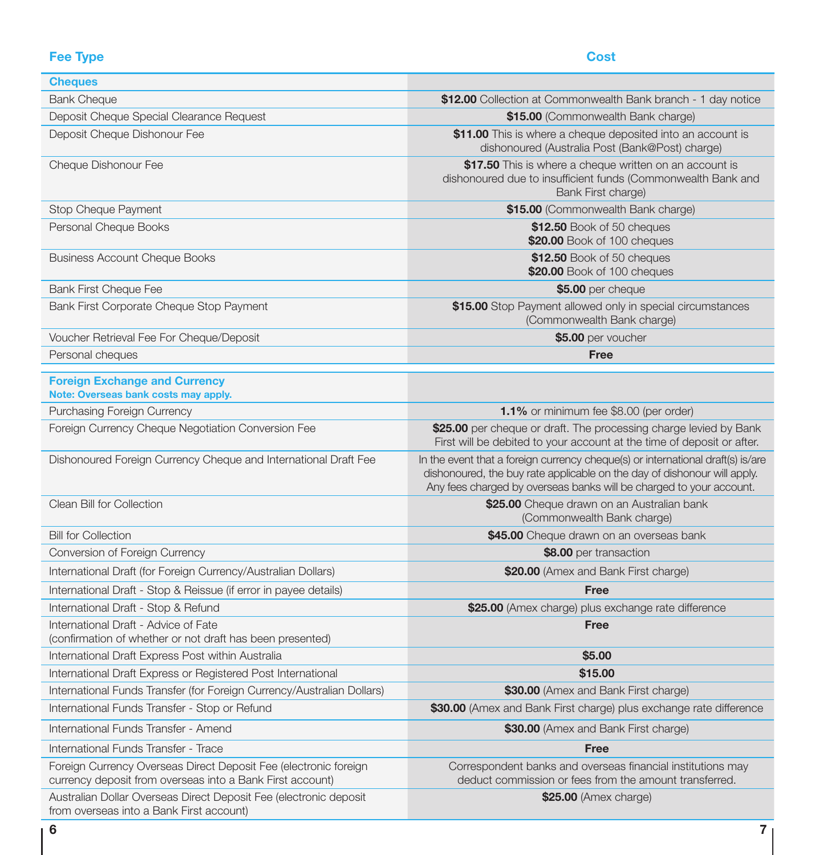# Fee Type Cost

| <b>Cheques</b>                                                                                                                |                                                                                                                                                                                                                                    |
|-------------------------------------------------------------------------------------------------------------------------------|------------------------------------------------------------------------------------------------------------------------------------------------------------------------------------------------------------------------------------|
| <b>Bank Cheque</b>                                                                                                            | \$12.00 Collection at Commonwealth Bank branch - 1 day notice                                                                                                                                                                      |
| Deposit Cheque Special Clearance Request                                                                                      | \$15.00 (Commonwealth Bank charge)                                                                                                                                                                                                 |
| Deposit Cheque Dishonour Fee                                                                                                  | \$11.00 This is where a cheque deposited into an account is<br>dishonoured (Australia Post (Bank@Post) charge)                                                                                                                     |
| Cheque Dishonour Fee                                                                                                          | \$17.50 This is where a cheque written on an account is<br>dishonoured due to insufficient funds (Commonwealth Bank and<br>Bank First charge)                                                                                      |
| Stop Cheque Payment                                                                                                           | \$15.00 (Commonwealth Bank charge)                                                                                                                                                                                                 |
| Personal Cheque Books                                                                                                         | \$12.50 Book of 50 cheques<br>\$20.00 Book of 100 cheques                                                                                                                                                                          |
| <b>Business Account Cheque Books</b>                                                                                          | \$12.50 Book of 50 cheques<br>\$20.00 Book of 100 cheques                                                                                                                                                                          |
| <b>Bank First Cheque Fee</b>                                                                                                  | \$5.00 per cheque                                                                                                                                                                                                                  |
| Bank First Corporate Cheque Stop Payment                                                                                      | \$15.00 Stop Payment allowed only in special circumstances<br>(Commonwealth Bank charge)                                                                                                                                           |
| Voucher Retrieval Fee For Cheque/Deposit                                                                                      | \$5.00 per voucher                                                                                                                                                                                                                 |
| Personal cheques                                                                                                              | Free                                                                                                                                                                                                                               |
| <b>Foreign Exchange and Currency</b><br>Note: Overseas bank costs may apply.                                                  |                                                                                                                                                                                                                                    |
| Purchasing Foreign Currency                                                                                                   | <b>1.1%</b> or minimum fee \$8.00 (per order)                                                                                                                                                                                      |
| Foreign Currency Cheque Negotiation Conversion Fee                                                                            | \$25.00 per cheque or draft. The processing charge levied by Bank<br>First will be debited to your account at the time of deposit or after.                                                                                        |
| Dishonoured Foreign Currency Cheque and International Draft Fee                                                               | In the event that a foreign currency cheque(s) or international draft(s) is/are<br>dishonoured, the buy rate applicable on the day of dishonour will apply.<br>Any fees charged by overseas banks will be charged to your account. |
| Clean Bill for Collection                                                                                                     | \$25.00 Cheque drawn on an Australian bank<br>(Commonwealth Bank charge)                                                                                                                                                           |
| <b>Bill for Collection</b>                                                                                                    | \$45.00 Cheque drawn on an overseas bank                                                                                                                                                                                           |
| Conversion of Foreign Currency                                                                                                | \$8.00 per transaction                                                                                                                                                                                                             |
| International Draft (for Foreign Currency/Australian Dollars)                                                                 | \$20.00 (Amex and Bank First charge)                                                                                                                                                                                               |
| International Draft - Stop & Reissue (if error in payee details)                                                              | Free                                                                                                                                                                                                                               |
| International Draft - Stop & Refund                                                                                           | \$25.00 (Amex charge) plus exchange rate difference                                                                                                                                                                                |
| International Draft - Advice of Fate<br>(confirmation of whether or not draft has been presented)                             | Free                                                                                                                                                                                                                               |
| International Draft Express Post within Australia                                                                             | \$5.00                                                                                                                                                                                                                             |
| International Draft Express or Registered Post International                                                                  | \$15.00                                                                                                                                                                                                                            |
| International Funds Transfer (for Foreign Currency/Australian Dollars)                                                        | \$30.00 (Amex and Bank First charge)                                                                                                                                                                                               |
| International Funds Transfer - Stop or Refund                                                                                 | \$30.00 (Amex and Bank First charge) plus exchange rate difference                                                                                                                                                                 |
| International Funds Transfer - Amend                                                                                          | \$30.00 (Amex and Bank First charge)                                                                                                                                                                                               |
| International Funds Transfer - Trace                                                                                          | Free                                                                                                                                                                                                                               |
| Foreign Currency Overseas Direct Deposit Fee (electronic foreign<br>currency deposit from overseas into a Bank First account) | Correspondent banks and overseas financial institutions may<br>deduct commission or fees from the amount transferred.                                                                                                              |
| Australian Dollar Overseas Direct Deposit Fee (electronic deposit<br>from overseas into a Bank First account)                 | \$25.00 (Amex charge)                                                                                                                                                                                                              |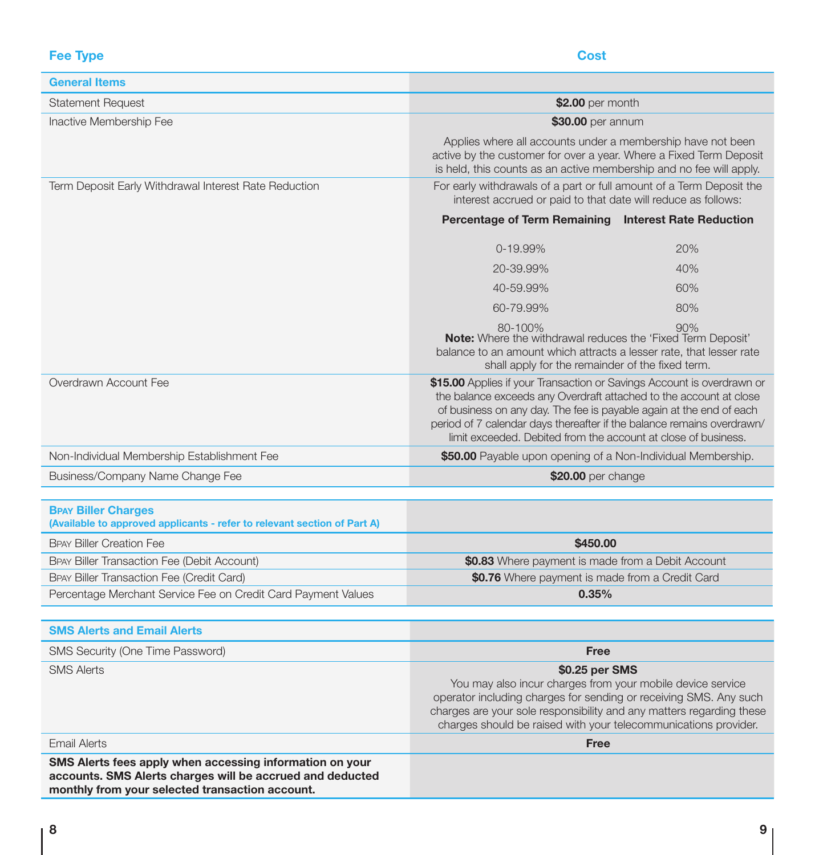**Fee Type Cost** 

| <b>General Items</b>                                                                                                                                                     |                                                                                                                                                                                                                                                                                                                                                                 |     |
|--------------------------------------------------------------------------------------------------------------------------------------------------------------------------|-----------------------------------------------------------------------------------------------------------------------------------------------------------------------------------------------------------------------------------------------------------------------------------------------------------------------------------------------------------------|-----|
| <b>Statement Request</b>                                                                                                                                                 | \$2.00 per month                                                                                                                                                                                                                                                                                                                                                |     |
| Inactive Membership Fee                                                                                                                                                  | \$30.00 per annum                                                                                                                                                                                                                                                                                                                                               |     |
|                                                                                                                                                                          | Applies where all accounts under a membership have not been<br>active by the customer for over a year. Where a Fixed Term Deposit<br>is held, this counts as an active membership and no fee will apply.                                                                                                                                                        |     |
| Term Deposit Early Withdrawal Interest Rate Reduction                                                                                                                    | For early withdrawals of a part or full amount of a Term Deposit the<br>interest accrued or paid to that date will reduce as follows:                                                                                                                                                                                                                           |     |
|                                                                                                                                                                          | Percentage of Term Remaining Interest Rate Reduction                                                                                                                                                                                                                                                                                                            |     |
|                                                                                                                                                                          | 0-19.99%<br>20%                                                                                                                                                                                                                                                                                                                                                 |     |
|                                                                                                                                                                          | 20-39.99%<br>40%                                                                                                                                                                                                                                                                                                                                                |     |
|                                                                                                                                                                          | 40-59.99%<br>60%                                                                                                                                                                                                                                                                                                                                                |     |
|                                                                                                                                                                          | 60-79.99%<br>80%                                                                                                                                                                                                                                                                                                                                                |     |
|                                                                                                                                                                          | 80-100%<br><b>Note:</b> Where the withdrawal reduces the 'Fixed Term Deposit'<br>balance to an amount which attracts a lesser rate, that lesser rate<br>shall apply for the remainder of the fixed term.                                                                                                                                                        | 90% |
| Overdrawn Account Fee                                                                                                                                                    | \$15.00 Applies if your Transaction or Savings Account is overdrawn or<br>the balance exceeds any Overdraft attached to the account at close<br>of business on any day. The fee is payable again at the end of each<br>period of 7 calendar days thereafter if the balance remains overdrawn/<br>limit exceeded. Debited from the account at close of business. |     |
| Non-Individual Membership Establishment Fee                                                                                                                              | \$50.00 Payable upon opening of a Non-Individual Membership.                                                                                                                                                                                                                                                                                                    |     |
| Business/Company Name Change Fee                                                                                                                                         | \$20.00 per change                                                                                                                                                                                                                                                                                                                                              |     |
|                                                                                                                                                                          |                                                                                                                                                                                                                                                                                                                                                                 |     |
| <b>BPAY Biller Charges</b><br>(Available to approved applicants - refer to relevant section of Part A)                                                                   |                                                                                                                                                                                                                                                                                                                                                                 |     |
| <b>BPAY Biller Creation Fee</b>                                                                                                                                          | \$450.00                                                                                                                                                                                                                                                                                                                                                        |     |
| BPAY Biller Transaction Fee (Debit Account)                                                                                                                              | \$0.83 Where payment is made from a Debit Account                                                                                                                                                                                                                                                                                                               |     |
| BPAY Biller Transaction Fee (Credit Card)                                                                                                                                | \$0.76 Where payment is made from a Credit Card                                                                                                                                                                                                                                                                                                                 |     |
| Percentage Merchant Service Fee on Credit Card Payment Values                                                                                                            | 0.35%                                                                                                                                                                                                                                                                                                                                                           |     |
| <b>SMS Alerts and Email Alerts</b>                                                                                                                                       |                                                                                                                                                                                                                                                                                                                                                                 |     |
| SMS Security (One Time Password)                                                                                                                                         | Free                                                                                                                                                                                                                                                                                                                                                            |     |
| <b>SMS Alerts</b>                                                                                                                                                        | \$0.25 per SMS                                                                                                                                                                                                                                                                                                                                                  |     |
|                                                                                                                                                                          | You may also incur charges from your mobile device service<br>operator including charges for sending or receiving SMS. Any such<br>charges are your sole responsibility and any matters regarding these<br>charges should be raised with your telecommunications provider.                                                                                      |     |
| <b>Email Alerts</b>                                                                                                                                                      | <b>Free</b>                                                                                                                                                                                                                                                                                                                                                     |     |
| SMS Alerts fees apply when accessing information on your<br>accounts. SMS Alerts charges will be accrued and deducted<br>monthly from your selected transaction account. |                                                                                                                                                                                                                                                                                                                                                                 |     |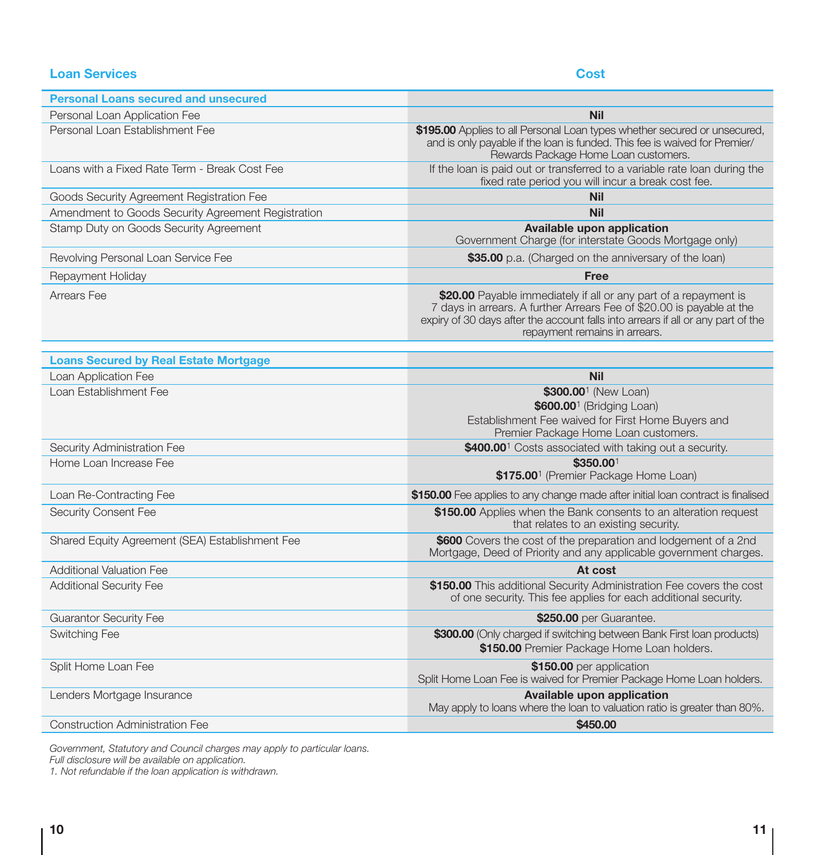# **Loan Services** Cost

| <b>Personal Loans secured and unsecured</b>        |                                                                                                                                                                                                                                                                |
|----------------------------------------------------|----------------------------------------------------------------------------------------------------------------------------------------------------------------------------------------------------------------------------------------------------------------|
| Personal Loan Application Fee                      | <b>Nil</b>                                                                                                                                                                                                                                                     |
| Personal Loan Establishment Fee                    | \$195.00 Applies to all Personal Loan types whether secured or unsecured,<br>and is only payable if the loan is funded. This fee is waived for Premier/<br>Rewards Package Home Loan customers.                                                                |
| Loans with a Fixed Rate Term - Break Cost Fee      | If the loan is paid out or transferred to a variable rate loan during the<br>fixed rate period you will incur a break cost fee.                                                                                                                                |
| Goods Security Agreement Registration Fee          | <b>Nil</b>                                                                                                                                                                                                                                                     |
| Amendment to Goods Security Agreement Registration | <b>Nil</b>                                                                                                                                                                                                                                                     |
| Stamp Duty on Goods Security Agreement             | Available upon application<br>Government Charge (for interstate Goods Mortgage only)                                                                                                                                                                           |
| Revolving Personal Loan Service Fee                | \$35.00 p.a. (Charged on the anniversary of the loan)                                                                                                                                                                                                          |
| Repayment Holiday                                  | <b>Free</b>                                                                                                                                                                                                                                                    |
| Arrears Fee                                        | \$20.00 Payable immediately if all or any part of a repayment is<br>7 days in arrears. A further Arrears Fee of \$20.00 is payable at the<br>expiry of 30 days after the account falls into arrears if all or any part of the<br>repayment remains in arrears. |
| <b>Loans Secured by Real Estate Mortgage</b>       |                                                                                                                                                                                                                                                                |
| Loan Application Fee                               | <b>Nil</b>                                                                                                                                                                                                                                                     |
| Loan Establishment Fee                             | \$300.00 <sup>1</sup> (New Loan)<br>\$600.00 <sup>1</sup> (Bridging Loan)<br>Establishment Fee waived for First Home Buyers and<br>Premier Package Home Loan customers.                                                                                        |
| Security Administration Fee                        | \$400.00 <sup>1</sup> Costs associated with taking out a security.                                                                                                                                                                                             |
| Home Loan Increase Fee                             | \$350.001<br>\$175.00 <sup>1</sup> (Premier Package Home Loan)                                                                                                                                                                                                 |
| Loan Re-Contracting Fee                            | \$150.00 Fee applies to any change made after initial loan contract is finalised                                                                                                                                                                               |
| Security Consent Fee                               | \$150.00 Applies when the Bank consents to an alteration request<br>that relates to an existing security.                                                                                                                                                      |
| Shared Equity Agreement (SEA) Establishment Fee    | \$600 Covers the cost of the preparation and lodgement of a 2nd<br>Mortgage, Deed of Priority and any applicable government charges.                                                                                                                           |
| Additional Valuation Fee                           | At cost                                                                                                                                                                                                                                                        |
| Additional Security Fee                            | \$150.00 This additional Security Administration Fee covers the cost<br>of one security. This fee applies for each additional security.                                                                                                                        |
| <b>Guarantor Security Fee</b>                      | \$250.00 per Guarantee.                                                                                                                                                                                                                                        |
| Switching Fee                                      | \$300.00 (Only charged if switching between Bank First loan products)<br>\$150.00 Premier Package Home Loan holders.                                                                                                                                           |
| Split Home Loan Fee                                | \$150.00 per application<br>Split Home Loan Fee is waived for Premier Package Home Loan holders.                                                                                                                                                               |
| Lenders Mortgage Insurance                         | Available upon application<br>May apply to loans where the loan to valuation ratio is greater than 80%.                                                                                                                                                        |
| Construction Administration Fee                    | \$450.00                                                                                                                                                                                                                                                       |

*Government, Statutory and Council charges may apply to particular loans. Full disclosure will be available on application.* 

*1. Not refundable if the loan application is withdrawn.*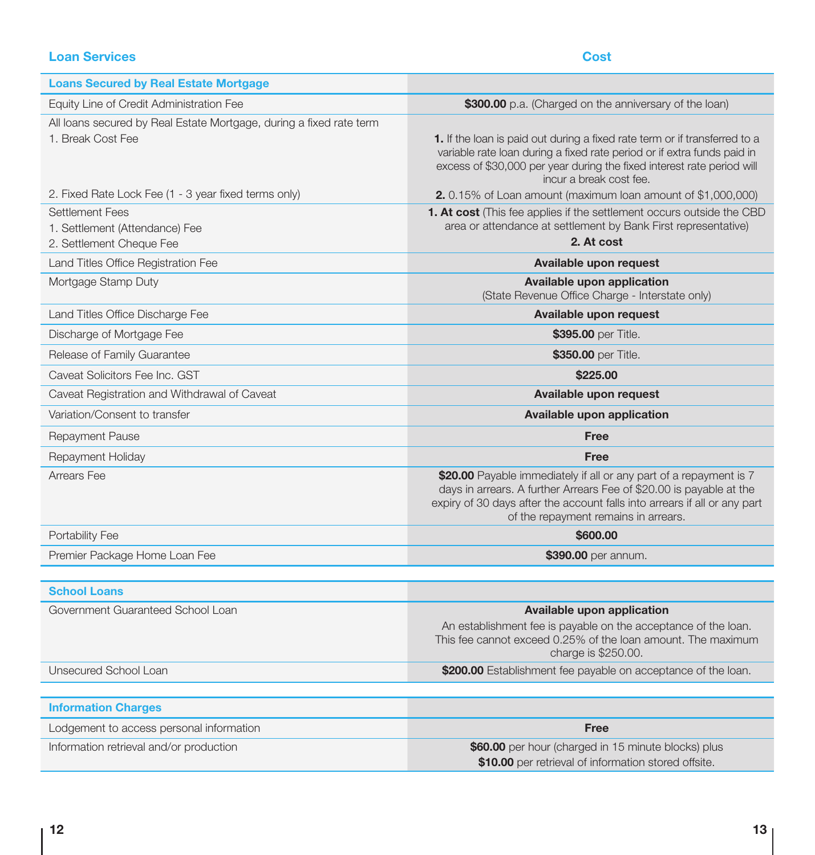# **Loan Services** Cost **Cost**

| <b>Loans Secured by Real Estate Mortgage</b>                                             |                                                                                                                                                                                                                                                                |
|------------------------------------------------------------------------------------------|----------------------------------------------------------------------------------------------------------------------------------------------------------------------------------------------------------------------------------------------------------------|
| Equity Line of Credit Administration Fee                                                 | \$300.00 p.a. (Charged on the anniversary of the loan)                                                                                                                                                                                                         |
| All loans secured by Real Estate Mortgage, during a fixed rate term<br>1. Break Cost Fee | 1. If the loan is paid out during a fixed rate term or if transferred to a<br>variable rate loan during a fixed rate period or if extra funds paid in<br>excess of \$30,000 per year during the fixed interest rate period will<br>incur a break cost fee.     |
| 2. Fixed Rate Lock Fee (1 - 3 year fixed terms only)                                     | <b>2.</b> 0.15% of Loan amount (maximum loan amount of $$1,000,000$ )                                                                                                                                                                                          |
| <b>Settlement Fees</b><br>1. Settlement (Attendance) Fee<br>2. Settlement Cheque Fee     | <b>1. At cost</b> (This fee applies if the settlement occurs outside the CBD<br>area or attendance at settlement by Bank First representative)<br>2. At cost                                                                                                   |
| Land Titles Office Registration Fee                                                      | Available upon request                                                                                                                                                                                                                                         |
| Mortgage Stamp Duty                                                                      | Available upon application<br>(State Revenue Office Charge - Interstate only)                                                                                                                                                                                  |
| Land Titles Office Discharge Fee                                                         | Available upon request                                                                                                                                                                                                                                         |
| Discharge of Mortgage Fee                                                                | \$395.00 per Title.                                                                                                                                                                                                                                            |
| Release of Family Guarantee                                                              | \$350.00 per Title.                                                                                                                                                                                                                                            |
| Caveat Solicitors Fee Inc. GST                                                           | \$225,00                                                                                                                                                                                                                                                       |
| Caveat Registration and Withdrawal of Caveat                                             | Available upon request                                                                                                                                                                                                                                         |
| Variation/Consent to transfer                                                            | Available upon application                                                                                                                                                                                                                                     |
| Repayment Pause                                                                          | Free                                                                                                                                                                                                                                                           |
| Repayment Holiday                                                                        | Free                                                                                                                                                                                                                                                           |
| Arrears Fee                                                                              | \$20.00 Payable immediately if all or any part of a repayment is 7<br>days in arrears. A further Arrears Fee of \$20.00 is payable at the<br>expiry of 30 days after the account falls into arrears if all or any part<br>of the repayment remains in arrears. |
| Portability Fee                                                                          | \$600,00                                                                                                                                                                                                                                                       |
| Premier Package Home Loan Fee                                                            | \$390.00 per annum.                                                                                                                                                                                                                                            |
| <b>School Loans</b>                                                                      |                                                                                                                                                                                                                                                                |
| Government Guaranteed School Loan                                                        | Available upon application<br>An establishment fee is payable on the acceptance of the loan.<br>This fee cannot exceed 0.25% of the loan amount. The maximum<br>charge is \$250.00.                                                                            |
| Unsecured School Loan                                                                    | \$200.00 Establishment fee payable on acceptance of the loan.                                                                                                                                                                                                  |
| <b>Information Charges</b>                                                               |                                                                                                                                                                                                                                                                |
| Lodgement to access personal information                                                 | Free                                                                                                                                                                                                                                                           |
| Information retrieval and/or production                                                  | \$60.00 per hour (charged in 15 minute blocks) plus<br>\$10.00 per retrieval of information stored offsite.                                                                                                                                                    |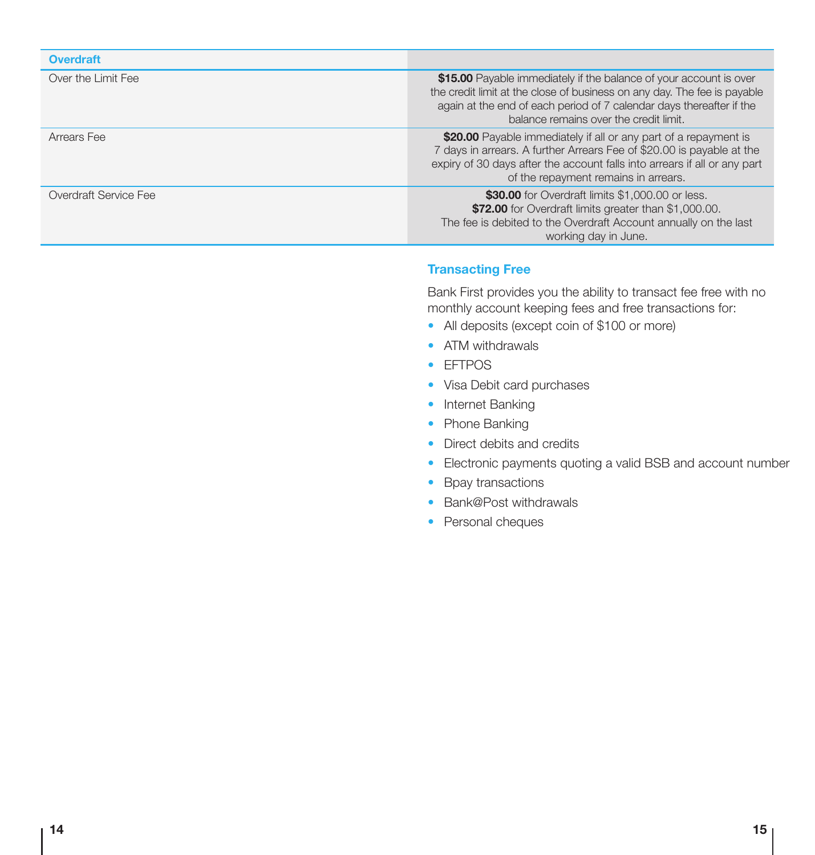## **Overdraft**

| Over the Limit Fee    | \$15.00 Payable immediately if the balance of your account is over<br>the credit limit at the close of business on any day. The fee is payable<br>again at the end of each period of 7 calendar days thereafter if the<br>balance remains over the credit limit. |
|-----------------------|------------------------------------------------------------------------------------------------------------------------------------------------------------------------------------------------------------------------------------------------------------------|
| Arrears Fee           | \$20.00 Payable immediately if all or any part of a repayment is<br>7 days in arrears. A further Arrears Fee of \$20.00 is payable at the<br>expiry of 30 days after the account falls into arrears if all or any part<br>of the repayment remains in arrears.   |
| Overdraft Service Fee | \$30.00 for Overdraft limits \$1,000.00 or less.<br>\$72.00 for Overdraft limits greater than \$1,000.00.<br>The fee is debited to the Overdraft Account annually on the last<br>working day in June.                                                            |

### Transacting Free

Bank First provides you the ability to transact fee free with no monthly account keeping fees and free transactions for:

- All deposits (except coin of \$100 or more)
- ATM withdrawals
- EFTPOS
- Visa Debit card purchases
- Internet Banking
- Phone Banking
- Direct debits and credits
- Electronic payments quoting a valid BSB and account number
- Bpay transactions
- Bank@Post withdrawals
- Personal cheques